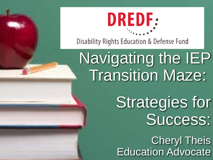

**Disability Rights Education & Defense Fund** 

# Navigating the IEP Transition Maze:

Strategies for Success:

Cheryl Theis **Education Advocate**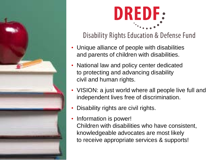



**Disability Rights Education & Defense Fund** 

- Unique alliance of people with disabilities and parents of children with disabilities.
- National law and policy center dedicated to protecting and advancing disability civil and human rights.
- VISION: a just world where all people live full and independent lives free of discrimination.
- Disability rights are civil rights.
- Information is power! Children with disabilities who have consistent, knowledgeable advocates are most likely to receive appropriate services & supports!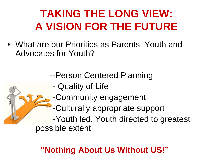### **TAKING THE LONG VIEW: A VISION FOR THE FUTURE**

• What are our Priorities as Parents, Youth and Advocates for Youth?

--Person Centered Planning

- Quality of Life
- -Community engagement
- -Culturally appropriate support

-Youth led, Youth directed to greatest possible extent

#### **"Nothing About Us Without US!"**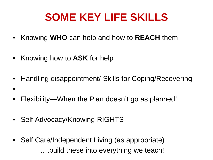### **SOME KEY LIFE SKILLS**

- Knowing **WHO** can help and how to **REACH** them
- Knowing how to **ASK** for help

•

- Handling disappointment/ Skills for Coping/Recovering
- Flexibility—When the Plan doesn't go as planned!
- Self Advocacy/Knowing RIGHTS
- Self Care/Independent Living (as appropriate) ….build these into everything we teach!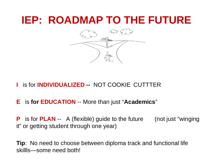#### **IEP: ROADMAP TO THE FUTURE**



- **I** is for **INDIVIDUALIZED --** NOT COOKIE CUTTTER
- **E** is **for EDUCATION** -- More than just "**Academics**"

**P** is for **PLAN** -- A (flexible) guide to the future (not just "winging it" or getting student through one year)

**Tip**: No need to choose between diploma track and functional life skillls—some need both!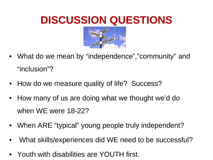### **DISCUSSION QUESTIONS**



- What do we mean by "independence","community" and "inclusion"?
- How do we measure quality of life? Success?
- How many of us are doing what we thought we'd do when WE were 18-22?
- When ARE "typical" young people truly independent?
- What skills/experiences did WE need to be successful?
- Youth with disabilities are YOUTH first.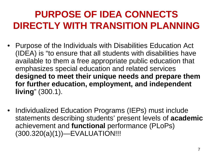### **PURPOSE OF IDEA CONNECTS DIRECTLY WITH TRANSITION PLANNING**

- Purpose of the Individuals with Disabilities Education Act (IDEA) is "to ensure that all students with disabilities have available to them a free appropriate public education that emphasizes special education and related services **designed to meet their unique needs and prepare them for further education, employment, and independent living**" (300.1).
- Individualized Education Programs (IEPs) must include statements describing students' present levels of **academic** achievement and **functional** performance (PLoPs) (300.320(a)(1))—EVALUATION!!!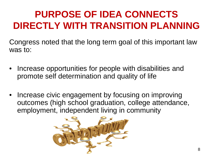### **PURPOSE OF IDEA CONNECTS DIRECTLY WITH TRANSITION PLANNING**

Congress noted that the long term goal of this important law was to:

- Increase opportunities for people with disabilities and promote self determination and quality of life
- Increase civic engagement by focusing on improving outcomes (high school graduation, college attendance, employment, independent living in community

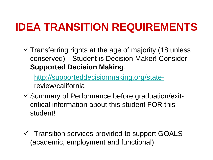### **IDEA TRANSITION REQUIREMENTS**

 $\checkmark$  Transferring rights at the age of majority (18 unless conserved)—Student is Decision Maker! Consider **Supported Decision Making**.

[http://supporteddecisionmaking.org/state](http://supporteddecisionmaking.org/state-)review/california

- $\checkmark$  Summary of Performance before graduation/exitcritical information about this student FOR this student!
- $\checkmark$  Transition services provided to support GOALS (academic, employment and functional)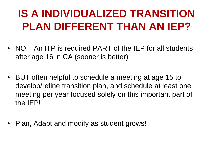### **IS A INDIVIDUALIZED TRANSITION PLAN DIFFERENT THAN AN IEP?**

- NO. An ITP is required PART of the IEP for all students after age 16 in CA (sooner is better)
- BUT often helpful to schedule a meeting at age 15 to develop/refine transition plan, and schedule at least one meeting per year focused solely on this important part of the IEP!
- Plan, Adapt and modify as student grows!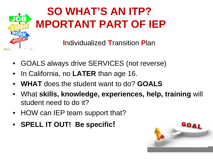

## **SO WHAT'S AN ITP? IMPORTANT PART OF IEP**

**I**ndividualized **T**ransition **P**lan

- GOALS always drive SERVICES (not reverse)
- In California, no **LATER** than age 16.
- **WHAT** does the student want to do? **GOALS**
- What **skills, knowledge, experiences, help, training** will student need to do it?
- HOW can IEP team support that?
- **SPELL IT OUT! Be specific!**

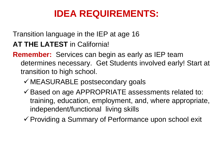#### **IDEA REQUIREMENTS:**

Transition language in the IEP at age 16

**AT THE LATEST** in California!

**Remember:** Services can begin as early as IEP team determines necessary. Get Students involved early! Start at transition to high school.

- $\checkmark$  MEASURABLE postsecondary goals
- $\checkmark$  Based on age APPROPRIATE assessments related to: training, education, employment, and, where appropriate, independent/functional living skills
- $\checkmark$  Providing a Summary of Performance upon school exit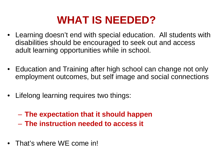### **WHAT IS NEEDED?**

- Learning doesn't end with special education. All students with disabilities should be encouraged to seek out and access adult learning opportunities while in school.
- Education and Training after high school can change not only employment outcomes, but self image and social connections
- Lifelong learning requires two things:
	- **The expectation that it should happen**
	- **The instruction needed to access it**
- That's where WE come in!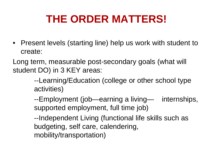### **THE ORDER MATTERS!**

• Present levels (starting line) help us work with student to create:

Long term, measurable post-secondary goals (what will student DO) in 3 KEY areas:

> --Learning/Education (college or other school type activities)

--Employment (job—earning a living— internships, supported employment, full time job)

--Independent Living (functional life skills such as budgeting, self care, calendering, mobility/transportation)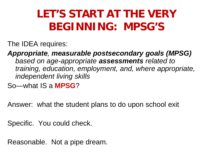### **LET'S START AT THE VERY BEGINNING: MPSG'S**

The IDEA requires:

*Appropriate, measurable postsecondary goals (MPSG) based on age-appropriate assessments related to training, education, employment, and, where appropriate, independent living skills*

So—what IS a **MPSG**?

Answer: what the student plans to do upon school exit

Specific. You could check.

Reasonable. Not a pipe dream.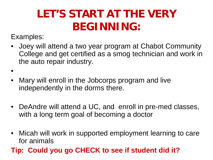### **LET'S START AT THE VERY BEGINNING:**

Examples:

•

- Joey will attend a two year program at Chabot Community College and get certified as a smog technician and work in the auto repair industry.
- Mary will enroll in the Jobcorps program and live independently in the dorms there.
- DeAndre will attend a UC, and enroll in pre-med classes, with a long term goal of becoming a doctor
- Micah will work in supported employment learning to care for animals
- **Tip: Could you go CHECK to see if student did it?**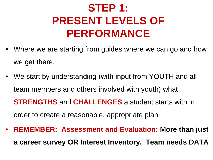### **STEP 1: PRESENT LEVELS OF PERFORMANCE**

- Where we are starting from guides where we can go and how we get there.
- We start by understanding (with input from YOUTH and all team members and others involved with youth) what **STRENGTHS** and **CHALLENGES** a student starts with in order to create a reasonable, appropriate plan
- **REMEMBER: Assessment and Evaluation: More than just a career survey OR Interest Inventory. Team needs DATA**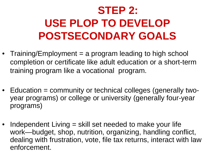## **STEP 2: USE PLOP TO DEVELOP POSTSECONDARY GOALS**

- Training/Employment = a program leading to high school completion or certificate like adult education or a short-term training program like a vocational program.
- Education = community or technical colleges (generally twoyear programs) or college or university (generally four-year programs)
- Independent Living = skill set needed to make your life work—budget, shop, nutrition, organizing, handling conflict, dealing with frustration, vote, file tax returns, interact with law enforcement.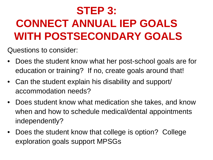## **STEP 3: CONNECT ANNUAL IEP GOALS WITH POSTSECONDARY GOALS**

Questions to consider:

- Does the student know what her post-school goals are for education or training? If no, create goals around that!
- Can the student explain his disability and support/ accommodation needs?
- Does student know what medication she takes, and know when and how to schedule medical/dental appointments independently?
- Does the student know that college is option? College exploration goals support MPSGs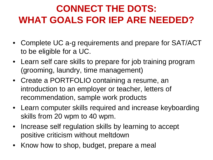#### **CONNECT THE DOTS: WHAT GOALS FOR IEP ARE NEEDED?**

- Complete UC a-g requirements and prepare for SAT/ACT to be eligible for a UC.
- Learn self care skills to prepare for job training program (grooming, laundry, time management)
- Create a PORTFOLIO containing a resume, an introduction to an employer or teacher, letters of recommendation, sample work products
- Learn computer skills required and increase keyboarding skills from 20 wpm to 40 wpm.
- Increase self regulation skills by learning to accept positive criticism without meltdown
- Know how to shop, budget, prepare a meal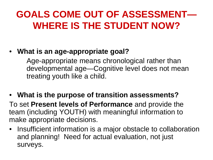#### **GOALS COME OUT OF ASSESSMENT— WHERE IS THE STUDENT NOW?**

#### • **What is an age-appropriate goal?**

Age-appropriate means chronological rather than developmental age—Cognitive level does not mean treating youth like a child.

#### • **What is the purpose of transition assessments?**

To set **Present levels of Performance** and provide the team (including YOUTH) with meaningful information to make appropriate decisions.

• Insufficient information is a major obstacle to collaboration and planning! Need for actual evaluation, not just surveys.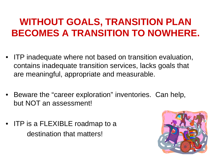#### **WITHOUT GOALS, TRANSITION PLAN BECOMES A TRANSITION TO NOWHERE.**

- ITP inadequate where not based on transition evaluation, contains inadequate transition services, lacks goals that are meaningful, appropriate and measurable.
- Beware the "career exploration" inventories. Can help, but NOT an assessment!
- ITP is a FLEXIBLE roadmap to a destination that matters!

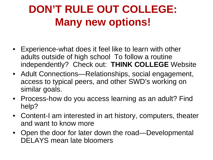### **DON'T RULE OUT COLLEGE: Many new options!**

- Experience-what does it feel like to learn with other adults outside of high school To follow a routine independently? Check out: **THINK COLLEGE** Website
- Adult Connections—Relationships, social engagement, access to typical peers, and other SWD's working on similar goals.
- Process-how do you access learning as an adult? Find help?
- Content-I am interested in art history, computers, theater and want to know more
- Open the door for later down the road—Developmental DELAYS mean late bloomers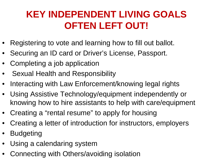#### **KEY INDEPENDENT LIVING GOALS OFTEN LEFT OUT!**

- Registering to vote and learning how to fill out ballot.
- Securing an ID card or Driver's License, Passport.
- Completing a job application
- Sexual Health and Responsibility
- Interacting with Law Enforcement/knowing legal rights
- Using Assistive Technology/equipment independently or knowing how to hire assistants to help with care/equipment
- Creating a "rental resume" to apply for housing
- Creating a letter of introduction for instructors, employers
- Budgeting
- Using a calendaring system
- Connecting with Others/avoiding isolation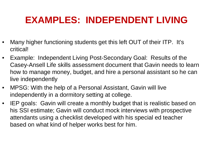#### **EXAMPLES: INDEPENDENT LIVING**

- Many higher functioning students get this left OUT of their ITP. It's critical!
- Example: Independent Living Post-Secondary Goal: Results of the Casey-Ansell Life skills assessment document that Gavin needs to learn how to manage money, budget, and hire a personal assistant so he can live independently
- MPSG: With the help of a Personal Assistant, Gavin will live independently in a dormitory setting at college.
- IEP goals: Gavin will create a monthly budget that is realistic based on his SSI estimate; Gavin will conduct mock interviews with prospective attendants using a checklist developed with his special ed teacher based on what kind of helper works best for him.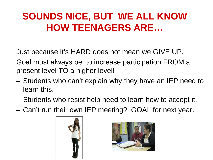#### **SOUNDS NICE, BUT WE ALL KNOW HOW TEENAGERS ARE…**

Just because it's HARD does not mean we GIVE UP.

Goal must always be to increase participation FROM a present level TO a higher level!

- Students who can't explain why they have an IEP need to learn this.
- Students who resist help need to learn how to accept it.
- Can't run their own IEP meeting? GOAL for next year.



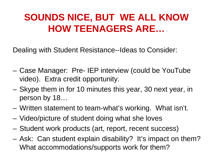#### **SOUNDS NICE, BUT WE ALL KNOW HOW TEENAGERS ARE…**

Dealing with Student Resistance--Ideas to Consider:

- Case Manager: Pre- IEP interview (could be YouTube video). Extra credit opportunity.
- Skype them in for 10 minutes this year, 30 next year, in person by 18…
- Written statement to team-what's working. What isn't.
- Video/picture of student doing what she loves
- Student work products (art, report, recent success)
- Ask: Can student explain disability? It's impact on them? What accommodations/supports work for them?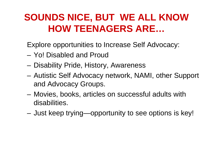#### **SOUNDS NICE, BUT WE ALL KNOW HOW TEENAGERS ARE…**

Explore opportunities to Increase Self Advocacy:

- Yo! Disabled and Proud
- Disability Pride, History, Awareness
- Autistic Self Advocacy network, NAMI, other Support and Advocacy Groups.
- Movies, books, articles on successful adults with disabilities.
- Just keep trying—opportunity to see options is key!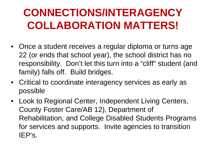### **CONNECTIONS/INTERAGENCY COLLABORATION MATTERS!**

- Once a student receives a regular diploma or turns age 22 (or ends that school year), the school district has no responsibility. Don't let this turn into a "cliff" student (and family) falls off. Build bridges.
- Critical to coordinate interagency services as early as possible
- Look to Regional Center, Independent Living Centers, County Foster Care/AB 12), Department of Rehabilitation, and College Disabled Students Programs for services and supports. Invite agencies to transition IEP's.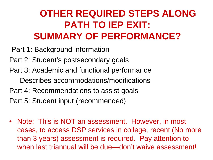#### **OTHER REQUIRED STEPS ALONG PATH TO IEP EXIT: SUMMARY OF PERFORMANCE?**

- Part 1: Background information
- Part 2: Student's postsecondary goals
- Part 3: Academic and functional performance Describes accommodations/modifications
- Part 4: Recommendations to assist goals
- Part 5: Student input (recommended)
- Note: This is NOT an assessment. However, in most cases, to access DSP services in college, recent (No more than 3 years) assessment is required. Pay attention to when last triannual will be due—don't waive assessment!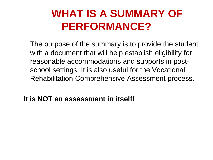### **WHAT IS A SUMMARY OF PERFORMANCE?**

The purpose of the summary is to provide the student with a document that will help establish eligibility for reasonable accommodations and supports in postschool settings. It is also useful for the Vocational Rehabilitation Comprehensive Assessment process.

**It is NOT an assessment in itself!**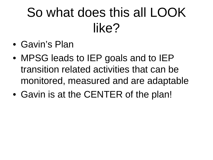# So what does this all LOOK like?

- Gavin's Plan
- MPSG leads to IEP goals and to IEP transition related activities that can be monitored, measured and are adaptable
- Gavin is at the CENTER of the plan!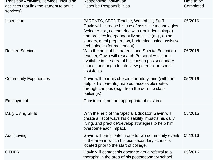| Transition Activities/Services (including<br>activities that link the student to adult<br>services) | Responsible Individual/<br><b>Describe Responsibilities</b>                                                                                                                                                                                                                                                   | Date to be<br>Completed |
|-----------------------------------------------------------------------------------------------------|---------------------------------------------------------------------------------------------------------------------------------------------------------------------------------------------------------------------------------------------------------------------------------------------------------------|-------------------------|
| Instruction                                                                                         | <b>PARENTS, SPED Teacher, Workability Staff</b><br>Gavin will increase his use of assistive technologies<br>(voice to text, calendaring with reminders, skype)<br>and practice independent living skills (e.g., doing<br>laundry, meal preparation, budgeting, using assistive<br>technologies for movement). | 05/2016                 |
| <b>Related Services</b>                                                                             | With the help of his parents and Special Education<br>teacher, Gavin will research Personal Assistants<br>available in the area of his chosen postsecondary<br>school, and begin to interview potential personal<br>assistants.                                                                               | 06/2016                 |
| <b>Community Experiences</b>                                                                        | Gavin will tour his chosen dormitory, and (with the<br>help of his parents) map out accessible routes<br>through campus (e.g., from the dorm to class<br>buildings).                                                                                                                                          | 05/2016                 |
| Employment                                                                                          | Considered, but not appropriate at this time                                                                                                                                                                                                                                                                  |                         |
| <b>Daily Living Skills</b>                                                                          | With the help of the Special Educator, Gavin will<br>create a list of ways his disability impacts his daily<br>living, and practice/develop strategies to help him<br>overcome each impact.                                                                                                                   | 05/2016                 |
| <b>Adult Living</b>                                                                                 | Gavin will participate in one to two community events 09/2016<br>in the area in which his postsecondary school is<br>located prior to the start of college.                                                                                                                                                   |                         |
| <b>OTHER</b>                                                                                        | Gavin will contact his doctor to get a referral to a<br>therapist in the area of his postsecondary school.                                                                                                                                                                                                    | 05/2016                 |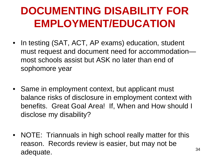### **DOCUMENTING DISABILITY FOR EMPLOYMENT/EDUCATION**

- In testing (SAT, ACT, AP exams) education, student must request and document need for accommodation most schools assist but ASK no later than end of sophomore year
- Same in employment context, but applicant must balance risks of disclosure in employment context with benefits. Great Goal Area! If, When and How should I disclose my disability?
- NOTE: Triannuals in high school really matter for this reason. Records review is easier, but may not be adequate.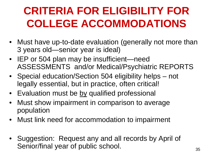### **CRITERIA FOR ELIGIBILITY FOR COLLEGE ACCOMMODATIONS**

- Must have up-to-date evaluation (generally not more than 3 years old—senior year is ideal)
- IEP or 504 plan may be insufficient—need ASSESSMENTS and/or Medical/Psychiatric REPORTS
- Special education/Section 504 eligibility helps not legally essential, but in practice, often critical!
- Evaluation must be by qualified professional
- Must show impairment in comparison to average population
- Must link need for accommodation to impairment
- Suggestion: Request any and all records by April of Senior/final year of public school.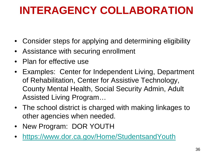### **INTERAGENCY COLLABORATION**

- Consider steps for applying and determining eligibility
- Assistance with securing enrollment
- Plan for effective use
- Examples: Center for Independent Living, Department of Rehabilitation, Center for Assistive Technology, County Mental Health, Social Security Admin, Adult Assisted Living Program…
- The school district is charged with making linkages to other agencies when needed.
- New Program: DOR YOUTH
- <https://www.dor.ca.gov/Home/StudentsandYouth>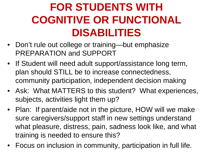### **FOR STUDENTS WITH COGNITIVE OR FUNCTIONAL DISABILITIES**

- Don't rule out college or training—but emphasize PREPARATION and SUPPORT
- If Student will need adult support/assistance long term, plan should STILL be to increase connectedness, community participation, independent decision making
- Ask: What MATTERS to this student? What experiences, subjects, activities light them up?
- Plan: If parent/aide not in the picture, HOW will we make sure caregivers/support staff in new settings understand what pleasure, distress, pain, sadness look like, and what training is needed to ensure this?
- Focus on inclusion in community, participation in full life.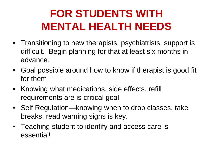### **FOR STUDENTS WITH MENTAL HEALTH NEEDS**

- Transitioning to new therapists, psychiatrists, support is difficult. Begin planning for that at least six months in advance.
- Goal possible around how to know if therapist is good fit for them
- Knowing what medications, side effects, refill requirements are is critical goal.
- Self Regulation—knowing when to drop classes, take breaks, read warning signs is key.
- Teaching student to identify and access care is essential!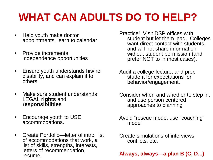### **WHAT CAN ADULTS DO TO HELP?**

- Help youth make doctor appointments, learn to calendar
- Provide incremental independence opportunities
- Ensure youth understands his/her disability, and can explain it to others
- Make sure student understands LEGAL **rights** and **responsibilities**
- Encourage youth to USE accommodations.
- Create Portfolio—letter of intro, list of accommodations that work, a list of skills, strengths, interests, letters of recommendation, resume.

Practice! Visit DSP offices with student but let them lead. Colleges want direct contact with students, and will not share information without student permission (and prefer NOT to in most cases).

- Audit a college lecture, and prep student for expectations for behavior/engagement.
- Consider when and whether to step in, and use person centered approaches to planning
- Avoid "rescue mode, use "coaching" model
- Create simulations of interviews, conflicts, etc.

#### **Always, always—a plan B (C, D...)**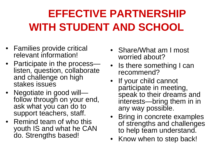## **EFFECTIVE PARTNERSHIP WITH STUDENT AND SCHOOL**

- Families provide critical relevant information!
- Participate in the process— listen, question, collaborate and challenge on high stakes issues
- Negotiate in good will—<br>follow through on your end, ask what you can do to support teachers, staff.
- Remind team of who this youth IS and what he CAN do. Strengths based!
- Share/What am I most worried about?
- Is there something I can recommend?
- If your child cannot participate in meeting, speak to their dreams and interests—bring them in in any way possible.
- Bring in concrete examples of strengths and challenges to help team understand.
- Know when to step back!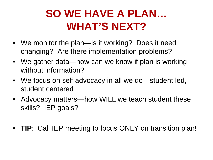### **SO WE HAVE A PLAN… WHAT'S NEXT?**

- We monitor the plan—is it working? Does it need changing? Are there implementation problems?
- We gather data—how can we know if plan is working without information?
- We focus on self advocacy in all we do—student led, student centered
- Advocacy matters—how WILL we teach student these skills? IEP goals?
- **TIP**: Call IEP meeting to focus ONLY on transition plan!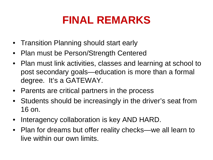### **FINAL REMARKS**

- Transition Planning should start early
- Plan must be Person/Strength Centered
- Plan must link activities, classes and learning at school to post secondary goals—education is more than a formal degree. It's a GATEWAY.
- Parents are critical partners in the process
- Students should be increasingly in the driver's seat from 16 on.
- Interagency collaboration is key AND HARD.
- Plan for dreams but offer reality checks—we all learn to live within our own limits.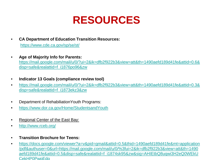#### **RESOURCES**

- **CA Department of Education Transition Resources:** <https://www.cde.ca.gov/sp/se/st/>
- **Age of Majority Info for Parents:**  [https://mail.google.com/mail/u/0/?ui=2&ik=dfb2f922b3&view=att&th=1490aefd189d41fe&attid=0.6&](https://mail.google.com/mail/u/0/?ui=2&ik=dfb2f922b3&view=att&th=1490aefd189d41fe&attid=0.6&disp=safe&realattid=f_i1876po96&zw) disp=safe&realattid=f\_i1876po96&zw
- **Indicator 13 Goals (compliance review tool)**
- [https://mail.google.com/mail/u/0/?ui=2&ik=dfb2f922b3&view=att&th=1490aefd189d41fe&attid=0.3&](https://mail.google.com/mail/u/0/?ui=2&ik=dfb2f922b3&view=att&th=1490aefd189d41fe&attid=0.3&disp=safe&realattid=f_i1873ekz3&zw) disp=safe&realattid=f\_i1873ekz3&zw
- Department of RehabiliationYouth Programs:
- <https://www.dor.ca.gov/Home/StudentsandYouth>
- Regional Center of the East Bay:
- <http://www.rceb.org/>
- **Transition Brochure for Teens:**
- https://docs.google.com/viewer?a=v&pid=gmail&attid=0.5&thid=1490aefd189d41fe&mt=application /pdf&authuser=0&url=https://mail.google.com/mail/u/0/%3fui=2&ik=dfb2f922b3&view=att&th=1490 [aefd189d41fe&attid=0.5&disp=safe&realattid=f\\_i1874sk95&zw&sig=AHIEtbQ8uqwi3H2eQ0WEkU](https://docs.google.com/viewer?a=v&pid=gmail&attid=0.5&thid=1490aefd189d41fe&mt=application/pdf&authuser=0&url=https://mail.google.com/mail/u/0/%3fui=2&ik=dfb2f922b3&view=att&th=1490aefd189d41fe&attid=0.5&disp=safe&realattid=f_i1874sk95&zw&sig=AHIEtbQ8uqwi3H2eQ0WEkUCekHP0PwpEdg) CekHP0PwpEdg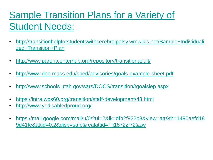### [Sample Transition Plans for a Variety of](http://www.parentcenterhub.org/repository/transitionadult/)  Student Needs:

- [http://transitionhelpforstudentswithcerebralpalsy.wmwikis.net/Sample+Individuali](http://transitionhelpforstudentswithcerebralpalsy.wmwikis.net/Sample+Individualized+Transition+Plan) zed+Transition+Plan
- <http://www.parentcenterhub.org/repository/transitionadult/>
- <http://www.doe.mass.edu/sped/advisories/goals-example-sheet.pdf>
- <http://www.schools.utah.gov/sars/DOCS/transition/tgoalsiep.aspx>
- <https://intra.wps60.org/transition/staff-development/43.html>
- <http://www.yodisabledproud.org/>
- [https://mail.google.com/mail/u/0/?ui=2&ik=dfb2f922b3&view=att&th=1490aefd18](https://mail.google.com/mail/u/0/?ui=2&ik=dfb2f922b3&view=att&th=1490aefd189d41fe&attid=0.2&disp=safe&realattid=f_i1872zf72&zw) 9d41fe&attid=0.2&disp=safe&realattid=f\_i1872zf72&zw